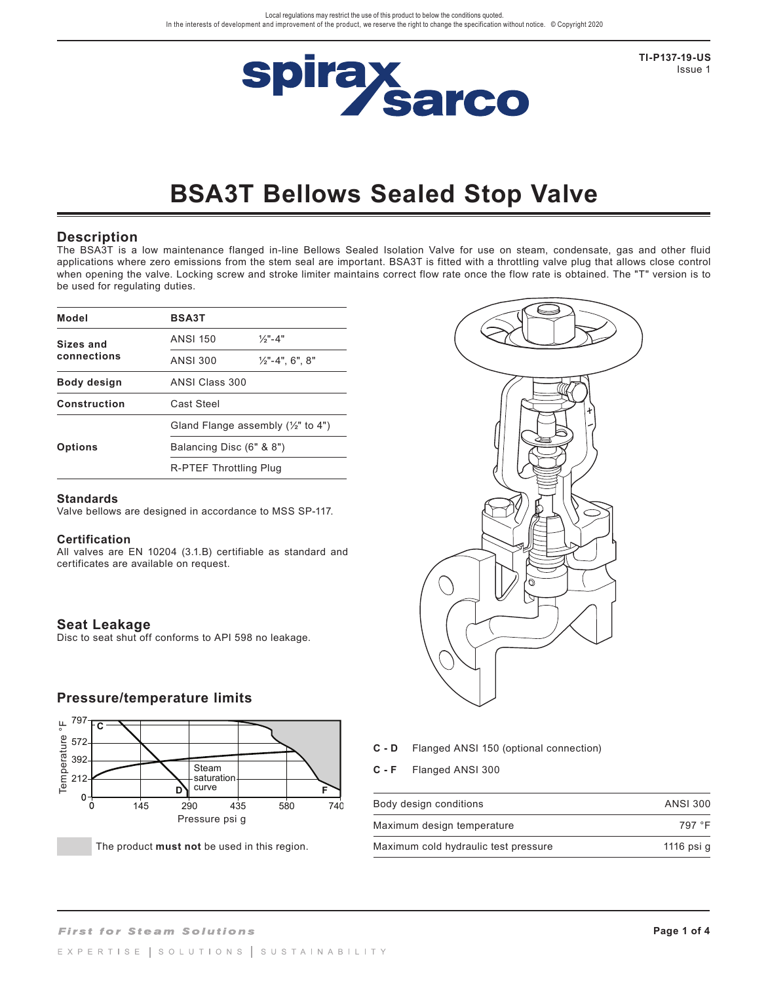

**TI-P137-19-US** Issue 1

# **BSA3T Bellows Sealed Stop Valve**

#### **Description**

The BSA3T is a low maintenance flanged in-line Bellows Sealed Isolation Valve for use on steam, condensate, gas and other fluid applications where zero emissions from the stem seal are important. BSA3T is fitted with a throttling valve plug that allows close control when opening the valve. Locking screw and stroke limiter maintains correct flow rate once the flow rate is obtained. The "T" version is to be used for regulating duties.

| Model          | <b>BSA3T</b>             |                                               |  |  |
|----------------|--------------------------|-----------------------------------------------|--|--|
| Sizes and      | ANSI 150                 | $1/3" - 4"$                                   |  |  |
| connections    | ANSI 300                 | $\frac{1}{2}$ "-4", 6", 8"                    |  |  |
| Body design    |                          | ANSI Class 300                                |  |  |
| Construction   | Cast Steel               |                                               |  |  |
|                |                          | Gland Flange assembly $(\frac{1}{2}$ " to 4") |  |  |
| <b>Options</b> | Balancing Disc (6" & 8") |                                               |  |  |
|                | R-PTEF Throttling Plug   |                                               |  |  |

#### **Standards**

Valve bellows are designed in accordance to MSS SP-117.

#### **Certification**

All valves are EN 10204 (3.1.B) certifiable as standard and certificates are available on request.

### **Seat Leakage**

Disc to seat shut off conforms to API 598 no leakage.

### **Pressure/temperature limits**



The product must not be used in this region.



- **C D** Flanged ANSI 150 (optional connection)
- **C F** Flanged ANSI 300

| Body design conditions               | ANSI 300   |
|--------------------------------------|------------|
| Maximum design temperature           | 797 °F     |
| Maximum cold hydraulic test pressure | 1116 psi g |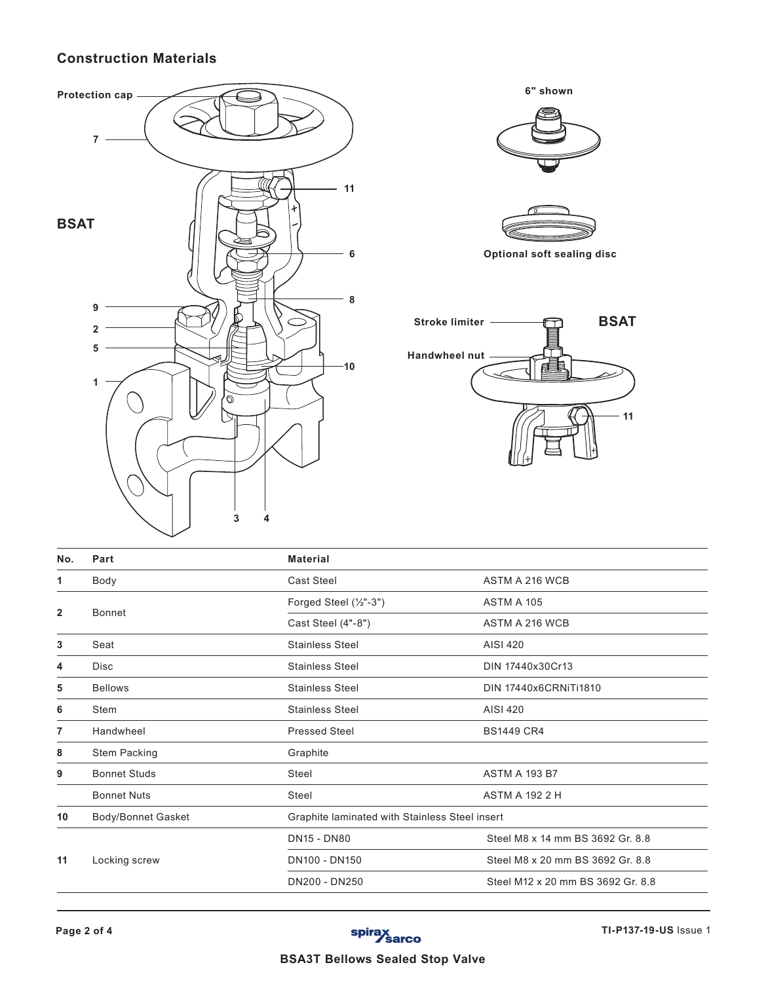# **Construction Materials**



| No.          | Part                | <b>Material</b>        |                                                |  |
|--------------|---------------------|------------------------|------------------------------------------------|--|
| 1            | Body                | <b>Cast Steel</b>      | ASTM A 216 WCB                                 |  |
|              | <b>Bonnet</b>       | Forged Steel (1/2"-3") | ASTM A 105                                     |  |
| $\mathbf{2}$ |                     | Cast Steel (4"-8")     | ASTM A 216 WCB                                 |  |
| 3            | Seat                | <b>Stainless Steel</b> | AISI 420                                       |  |
| 4            | Disc                | <b>Stainless Steel</b> | DIN 17440x30Cr13                               |  |
| 5            | <b>Bellows</b>      | <b>Stainless Steel</b> | <b>DIN 17440x6CRNiTi1810</b>                   |  |
| 6            | Stem                | <b>Stainless Steel</b> | AISI 420                                       |  |
| 7            | Handwheel           | <b>Pressed Steel</b>   | <b>BS1449 CR4</b>                              |  |
| 8            | <b>Stem Packing</b> | Graphite               |                                                |  |
| 9            | <b>Bonnet Studs</b> | <b>Steel</b>           | <b>ASTM A 193 B7</b>                           |  |
|              | <b>Bonnet Nuts</b>  | Steel                  | <b>ASTM A 192 2 H</b>                          |  |
| 10           | Body/Bonnet Gasket  |                        | Graphite laminated with Stainless Steel insert |  |
|              |                     | <b>DN15 - DN80</b>     | Steel M8 x 14 mm BS 3692 Gr. 8.8               |  |
| 11           | Locking screw       | DN100 - DN150          | Steel M8 x 20 mm BS 3692 Gr. 8.8               |  |
|              |                     | DN200 - DN250          | Steel M12 x 20 mm BS 3692 Gr. 8.8              |  |

**BSAT**

**11**

## **BSA3T Bellows Sealed Stop Valve**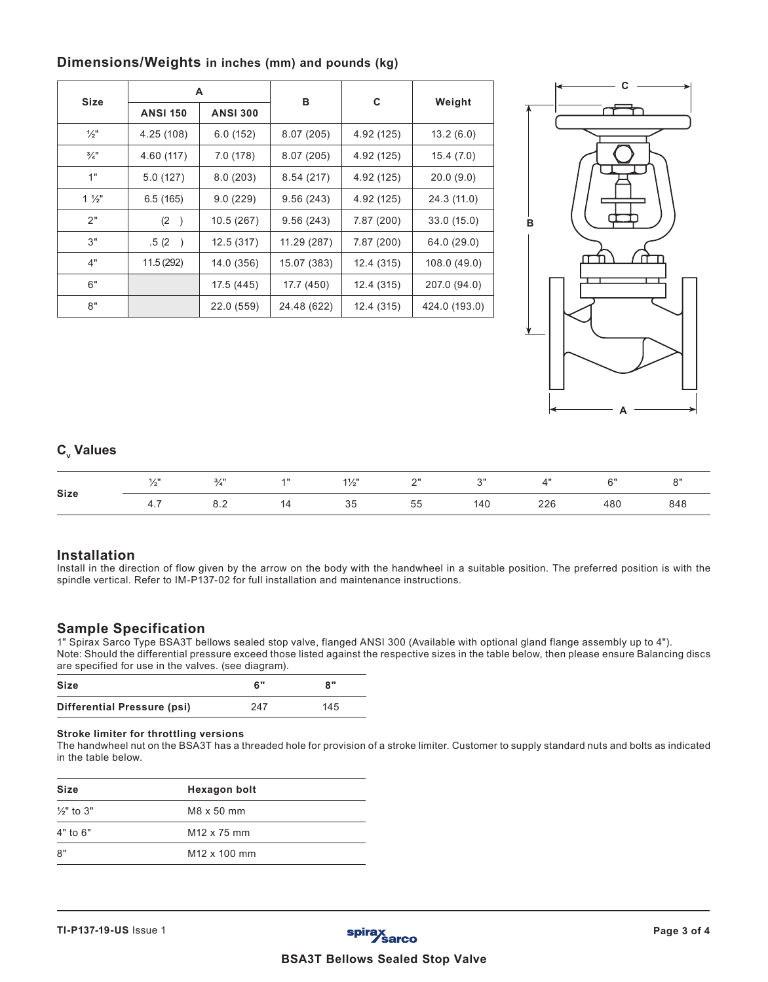| <b>Size</b>     |                 | A               | в           |            | Weight        |  |
|-----------------|-----------------|-----------------|-------------|------------|---------------|--|
|                 | <b>ANSI 150</b> | <b>ANSI 300</b> |             | C          |               |  |
| $\frac{1}{2}$ " | 4.25 (108)      | 6.0(152)        | 8.07(205)   | 4.92 (125) | 13.2(6.0)     |  |
| $\frac{3}{4}$ " | 4.60 (117)      | 7.0 (178)       | 8.07(205)   | 4.92 (125) | 15.4(7.0)     |  |
| 1"              | 5.0(127)        | 8.0(203)        | 8.54(217)   | 4.92 (125) | 20.0(9.0)     |  |
| $1\frac{1}{2}$  | 6.5(165)        | 9.0(229)        | 9.56(243)   | 4.92 (125) | 24.3 (11.0)   |  |
| 2"              | 8.0(203)        | 10.5 (267)      | 9.56(243)   | 7.87 (200) | 33.0(15.0)    |  |
| 3"              | 9.5(241)        | 12.5(317)       | 11.29 (287) | 7.87 (200) | 64.0 (29.0)   |  |
| 4"              | 11.5 (292)      | 14.0 (356)      | 15.07 (383) | 12.4 (315) | 108.0 (49.0)  |  |
| 6"              |                 | 17.5 (445)      | 17.7 (450)  | 12.4 (315) | 207.0 (94.0)  |  |
| 8"              |                 | 22.0 (559)      | 24.48 (622) | 12.4 (315) | 424.0 (193.0) |  |

## **Dimensions/Weights in inches (mm) and pounds (kg)**



# **C**<sub>v</sub> Values

|             |                       | 3/11 | 1" | $1\frac{1}{2}$ " | 2" | $2^{\prime\prime}$ |     | 6"  |     |
|-------------|-----------------------|------|----|------------------|----|--------------------|-----|-----|-----|
| <b>Size</b> | $4^{\degree}$<br>−⊤.≀ | 8.2  | 11 | 35               | 55 | 140                | 226 | 480 | 848 |

### **Installation**

Install in the direction of flow given by the arrow on the body with the handwheel in a suitable position. The preferred position is with the spindle vertical. Refer to IM-P137-02 for full installation and maintenance instructions.

## **Sample Specification**

1" Spirax Sarco Type BSA3T bellows sealed stop valve, flanged ANSI 300 (Available with optional gland flange assembly up to 4"). Note: Should the differential pressure exceed those listed against the respective sizes in the table below, then please ensure Balancing discs are specified for use in the valves. (see diagram).

| <b>Size</b>                 | 6"  | 8"  |
|-----------------------------|-----|-----|
| Differential Pressure (psi) | 247 | 145 |

#### **Stroke limiter for throttling versions**

The handwheel nut on the BSA3T has a threaded hole for provision of a stroke limiter. Customer to supply standard nuts and bolts as indicated in the table below.

| Size                  | <b>Hexagon bolt</b>      |  |
|-----------------------|--------------------------|--|
| $\frac{1}{2}$ " to 3" | M8 x 50 mm               |  |
| $4"$ to $6"$          | M <sub>12</sub> x 75 mm  |  |
| 8"                    | M <sub>12</sub> x 100 mm |  |